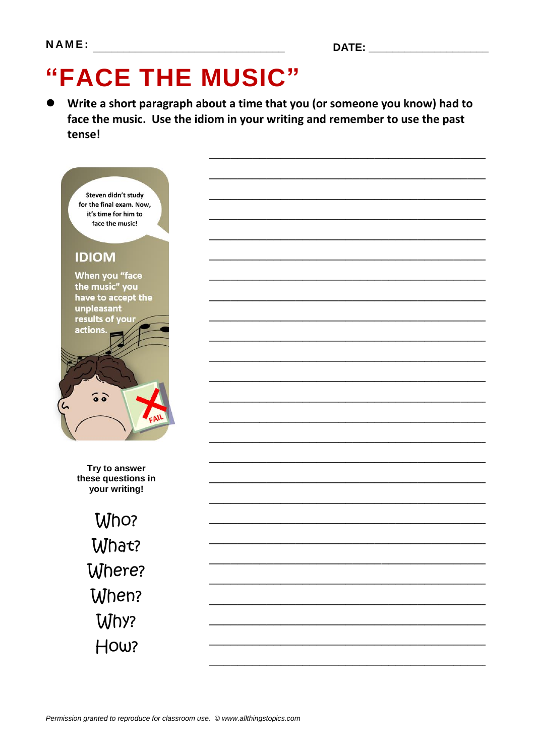# "FACE THE MUSIC"

Write a short paragraph about a time that you (or someone you know) had to face the music. Use the idiom in your writing and remember to use the past tense!